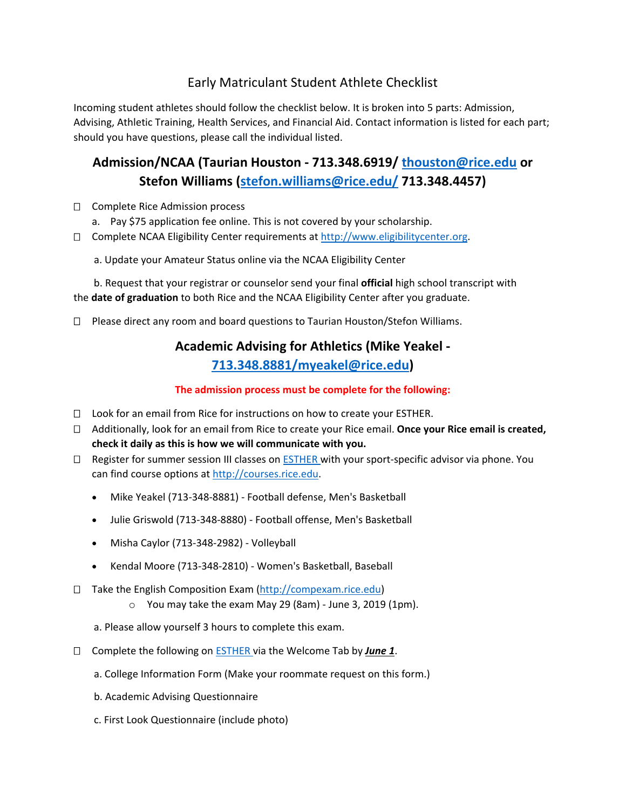## Early Matriculant Student Athlete Checklist

Incoming student athletes should follow the checklist below. It is broken into 5 parts: Admission, Advising, Athletic Training, Health Services, and Financial Aid. Contact information is listed for each part; should you have questions, please call the individual listed.

# **Admission/NCAA (Taurian Houston - 713.348.6919/ [thouston@rice.edu](mailto:thouston@rice.edu) or Stefon Williams [\(stefon.williams@rice.edu/](mailto:stefon.williams@rice.edu/) 713.348.4457)**

- □ Complete Rice Admission process
	- a. Pay \$75 application fee online. This is not covered by your scholarship.
- $\square$  Complete NCAA Eligibility Center requirements at [http://www.eligibilitycenter.org.](http://eligibilitycenter.org/)
	- a. Update your Amateur Status online via the NCAA Eligibility Center

 b. Request that your registrar or counselor send your final **official** high school transcript with the **date of graduation** to both Rice and the NCAA Eligibility Center after you graduate.

 $\Box$  Please direct any room and board questions to Taurian Houston/Stefon Williams.

# **Academic Advising for Athletics (Mike Yeakel - [713.348.8881/myeakel@rice.edu\)](mailto:713.348.8881/myeakel@rice.edu)**

#### **The admission process must be complete for the following:**

- $\Box$  Look for an email from Rice for instructions on how to create your ESTHER.
- Additionally, look for an email from Rice to create your Rice email. **Once your Rice email is created, check it daily as this is how we will communicate with you.**
- $\Box$  Register for summer session III classes on [ESTHER](http://esther.rice.edu/) with your sport-specific advisor via phone. You can find course options at [http://courses.rice.edu.](http://courses.rice.edu/)
	- Mike Yeakel (713-348-8881) Football defense, Men's Basketball
	- Julie Griswold (713-348-8880) Football offense, Men's Basketball
	- Misha Caylor (713-348-2982) Volleyball
	- Kendal Moore (713-348-2810) Women's Basketball, Baseball
- □ Take the English Composition Exam [\(http://compexam.rice.edu\)](http://compexam.rice.edu/)
	- o You may take the exam May 29 (8am) June 3, 2019 (1pm).
	- a. Please allow yourself 3 hours to complete this exam.
- Complete the following on [ESTHER](http://esther.rice.edu/) via the Welcome Tab by *June 1*.
	- a. College Information Form (Make your roommate request on this form.)
	- b. Academic Advising Questionnaire
	- c. First Look Questionnaire (include photo)